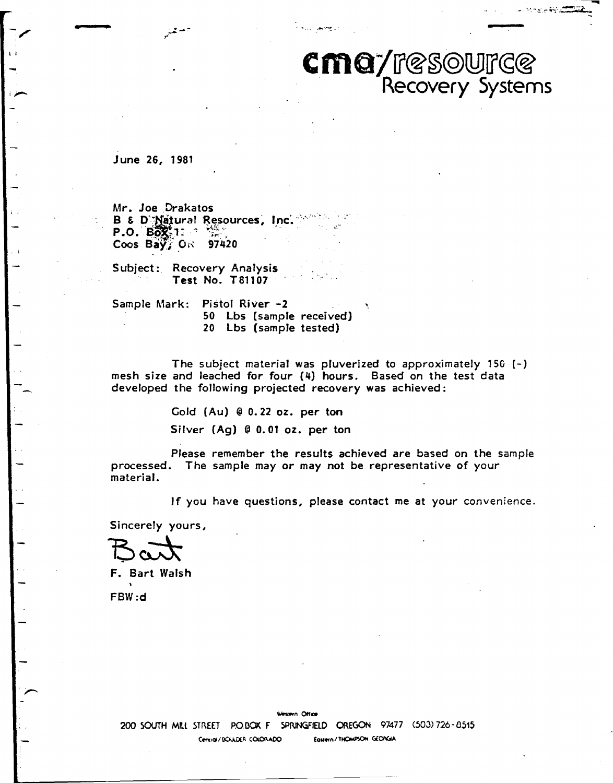# $cm$ a/resowrce *COVery Systems*

-----.... - <sup>~</sup>.. • .... ::::.. ~--~-: ... ~~ ..

June 26, 1981

l I

Mr. Joe Drakatos<br>B & D'Matural Resources, Inc. **B** & **D**<sup>1</sup>Matural Resources,<br>**P.O. Box**: 1: Coos **Bay}~"** 97420

Subject: Recovery Analysis Test No. T81107

Sample Mark: Pistol River -2 50 Lbs (sample received) 20 Lbs (sample tested)

The subject material was pluverized to approximately  $150$  (-) mesh size and leached for four (4) hours. Based on the test data developed the following projected recovery was achieved:

Gold (Au) @ 0. 22 oz. per ton

Silver (Ag) @ 0. 01 oz. per ton

Please remember the results achieved are based on the sample processed. The sample may *or* may not be representative of your material.

If you have questions, please contact me at your convenience.

Sincerely yours,

F. Bart Walsh FBW:d

Western Office 200 SOUTH MILL STREET PO. BOX F SPRINGFIELD OREGON 97477 (503) 726-8515 Censial/BOULDER COLORADO EQMern/THOMPSON GEORGIA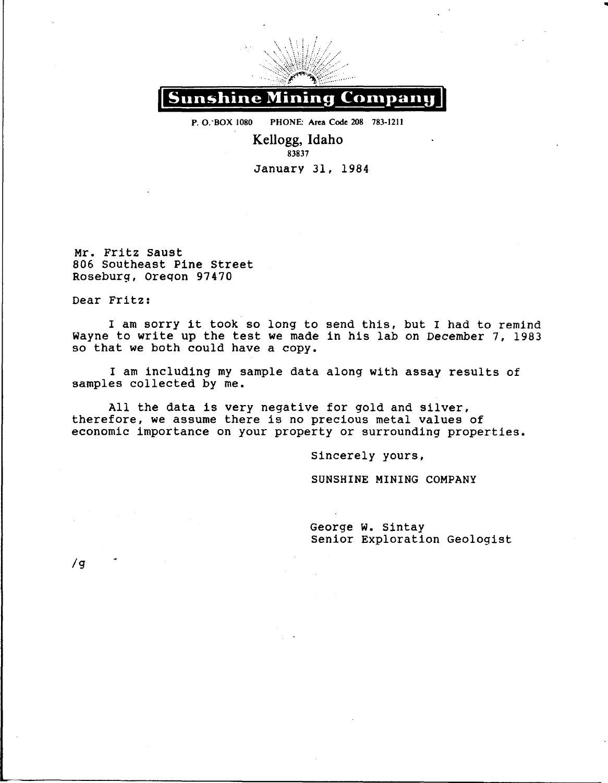

P. O. BOX 1080 PHONE: Area Code 208 783-1211

Kellogg, Idaho 83837 January 31, 1984

Mr. Fritz saust 806 Southeast Pine Street Roseburg, oreqon 97470

Dear Fritz:

I am sorry it took so long to send this, but I had to remind Wayne to write up the test we made in his lab on December 7, 1983 so that we both could have a copy.

I am including my sample data along with assay results of samples collected by me.

All the data is very negative for gold and silver, therefore, we assume there is no precious metal values of economic importance on your property or surrounding properties.

Sincerely yours,

**SUNSHINE MINING COMPANY** 

George w. Sintay senior Exploration Geologist ..

/g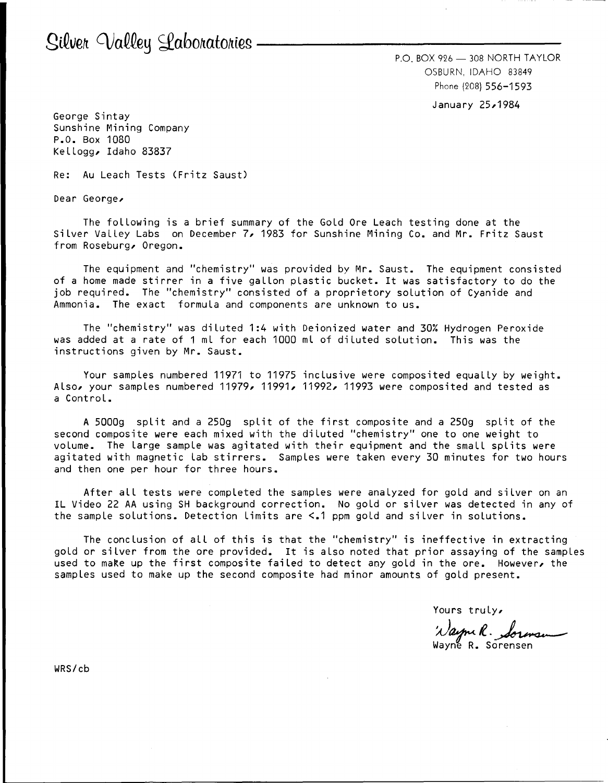$P.O.$  BOX 926  $-$  308 NORTH TAYLOR OSBURN, IDAHO 83849 Phone (208) 556-1593

January 25,1984

George Sintay Sunshine Mining Company P.O. Box 1080 Kellogg, Idaho 83837

Re: Au Leach Tests (Fritz Saust)

Dear George,

The following is a brief summary of the Gold Ore Leach testing done at the Silver Valley Labs on December 7, 1983 for Sunshine Mining Co. and Mr. Fritz Saust from Roseburg, Oregon.

The equipment and "chemistry" was provided by Mr. Saust. The equipment consisted of a home made stirrer in a five gallon plastic bucket. It was satisfactory to do the job required. The "chemistry" consisted of a proprietary solution of Cyanide and Ammonia. The exact formula and components are unknown to us.

The "chemistry" was diluted 1:4 with Deionized water and 30% Hydrogen Peroxide was added at a rate of 1 ml for each 1000 ml of diluted solution. This was the instructions given by Mr. Saust.

Your samples numbered 11971 to 11975 inclusive were composited equally by weight. Also, your samples numbered 11979, 11991, 11992, 11993 were composited and tested as a Control.

A 5000g split and a 250g split of the first composite and a 250g split of the second composite were each mixed with the diluted "chemistry" one to one weight to volume. The Large sample was agitated with their equipment and the small splits were agitated with magnetic Lab stirrers. Samples were taken every 30 minutes for two hours and then one per hour for three hours.

After all tests were completed the samples were analyzed for gold and silver on an IL Video 22 AA using SH background correction. No gold or silver was detected in any of the sample solutions. Detection Limits are <.1 ppm gold and silver in solutions.

The conclusion of all of this is that the "chemistry" is ineffective in extracting gold or silver from the ore provided. It is also noted that prior assaying of the samples used to make up the first composite failed to detect any gold in the ore. However, the samples used to make up the second composite had minor amounts of gold present.

Yours truly,

rours crucy.<br>'Nayme R. Sorensen

WRS/cb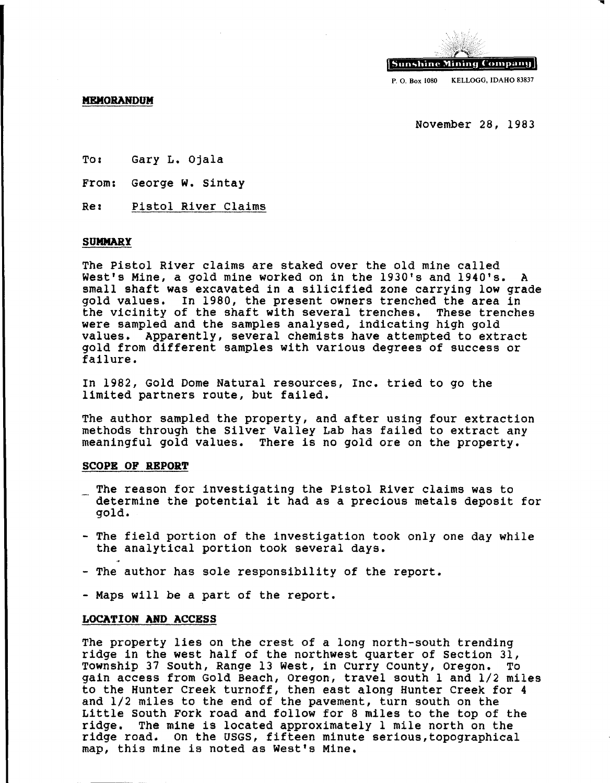

**MEMORANDUM** 

November 28, 1983

To: Gary L. Ojala

From: George w. Sintay

Re: Pistol River Claims

## **SUMMARY**

The Pistol River claims are staked over the old mine called West's Mine, a gold mine worked on in the 1930's and 1940's. small shaft was excavated in a silicified zone carrying low grade gold values. In 1980, the present owners trenched the area in the vicinity of the shaft with several trenches. These trenches the vicinity of the shaft with several trenches. were sampled and the samples analysed, indicating high gold values. Apparently, several chemists have attempted to ext: Apparently, several chemists have attempted to extract gold from different samples with various degrees of success or failure.

In 1982, Gold Dome Natural resources, Inc. tried *to* go the limited partners route, but failed.

The author sampled the property, and after using four extraction methods through the Silver Valley Lab has failed to extract any meaningful gold values. There is no gold ore on the property.

## **SCOPE OF REPORT**

- The reason for investigating the Pistol River claims was to determine the potential it had as a precious metals deposit for gold.
- The field portion of the investigation took only one day while the analytical portion took several days.
- The author has sole responsibility of the report.
- Maps will be a part of the report.

# **LOCATION AND ACCESS**

The property lies on the crest of a long north-south trending ridge in the west half of the northwest quarter of section 31, Township 37 south, Range 13 West, in curry county, Oregon. To gain access from Gold Beach, Oregon, travel south 1 and 1/2 miles to the Hunter creek turnoff, then east along Hunter creek for 4 and 1/2 miles to the end of the pavement, turn south on the Little South Fork road and follow for 8 miles to the top of the ridge. The mine is located approximately 1 mile north on the The mine is located approximately 1 mile north on the ridge road. on the USGS, fifteen minute serious,topographical map, this mine is noted as West's Mine.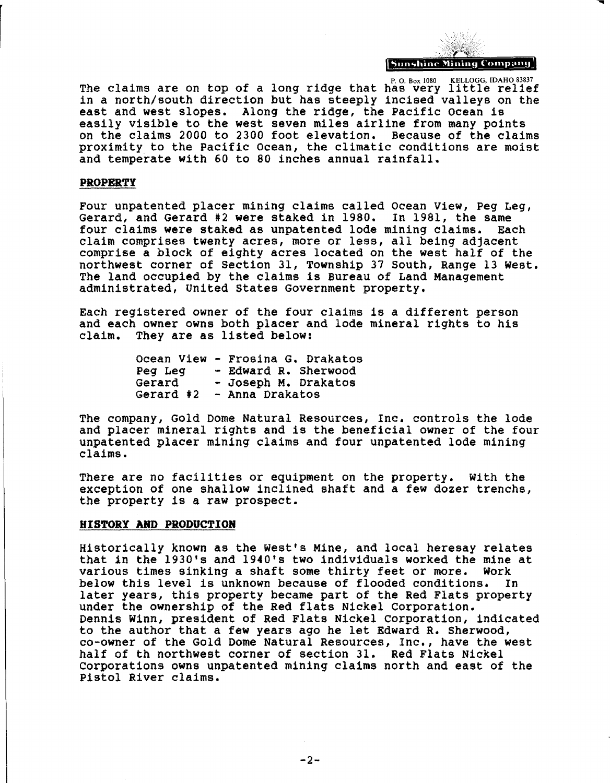**Sunshine Mining Company** 

The claims are on top of a long ridge that has very little relief in a north/south direction but has steeply incised valleys on the east and west slopes. Along the ridge, the Pacific ocean is easily visible to the west seven miles airline from many points on the claims 2000 to 2300 foot elevation. Because of the claims proximity to the Pacific ocean, the climatic conditions are moist and temperate with 60 to 80 inches annual rainfall.

## **PROPERTY**

Four unpatented placer mining claims called Ocean View, Peg Leg,<br>Gerard, and Gerard #2 were staked in 1980. In 1981, the same<br>four claims were staked as unpatented lode mining claims. Each four claims were staked as unpatented lode mining claims. claim comprises twenty acres, more or less, all being adjacent comprise a block of eighty acres located on the west half of the northwest corner of section 31, Township 37 south, Range 13 west. The land occupied by the claims is Bureau of Land Management administrated, United states Government property.

Each registered owner of the four claims is a different person and each owner owns both placer and lode mineral rights to his claim. They are as listed below:

|           | Ocean View - Frosina G. Drakatos |
|-----------|----------------------------------|
| Peg Leg   | - Edward R. Sherwood             |
| Gerard    | - Joseph M. Drakatos             |
| Gerard #2 | - Anna Drakatos                  |

The company, Gold Dome Natural Resources, Inc. controls the lode and placer mineral rights and is the beneficial owner of the four unpatented placer mining claims and four unpatented lode mining claims.

There are no facilities or equipment on the property. With the exception of one shallow inclined shaft and a few dozer trenchs, the property is a raw prospect.

## **HISTORY ARD PRODUCTION**

Historically known as the West's Mine, and local heresay relates that in the 1930's and 1940's two individuals worked the mine at<br>various times sinking a shaft some thirty feet or more. Work various times sinking a shaft some thirty feet or more. Work below this level is unknown because of flooded conditions. later years, this property became part of the Red Flats property under the ownership of the Red flats Nickel Corporation. Dennis Winn, president of Red Flats Nickel corporation, indicated to the author that a few years ago he let Edward R. Sherwood, co-owner of the Gold Dome Natural Resources, Inc., have the west half of th northwest corner of section 31. Red Flats Nickel corporations owns unpatented mining claims north and east of the Pistol River claims.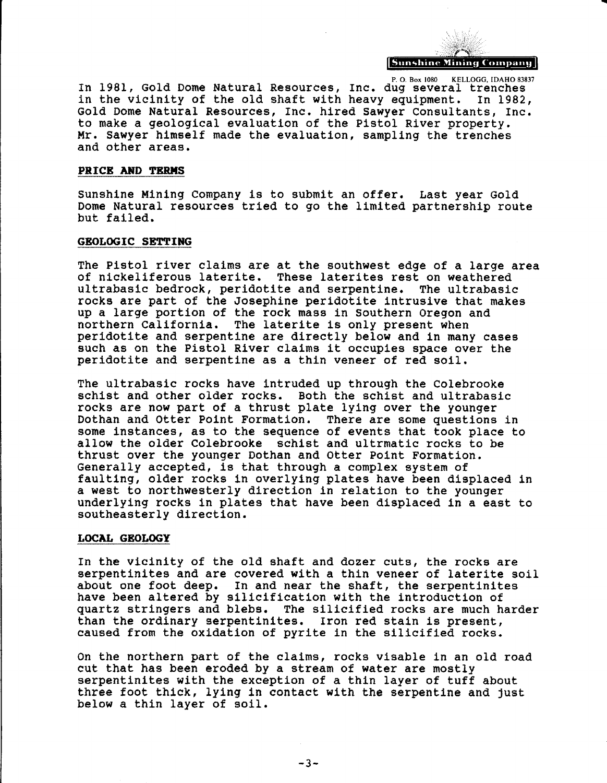

P. O. Box 1080 KELLOGG, IDAHO 83837 In 1981, Gold Dome Natural Resources, Inc. dug several trenches<br>in the vicinity of the old shaft with heavy equipment. In 1982, in the vicinity of the old shaft with heavy equipment. Gold Dome Natural Resources, Inc. hired sawyer Consultants, Inc. to make a geological evaluation of the Pistol River property. Mr. sawyer himself made the evaluation, sampling the trenches and other areas.

#### **PRICE AND TERMS**

sunshine Mining company is *to* submit an offer. Last year Gold Dome Natural resources tried to go the limited partnership route but failed.

## **GEOLOGIC SETTING**

The Pistol river claims are at the southwest edge of a large area<br>of nickeliferous laterite. These laterites rest on weathered These laterites rest on weathered<br>te and serpentine. The ultrabasic ultrabasic bedrock, peridotite and serpentine. rocks are part of the Josephine peridotite intrusive that makes up a large portion of the rock mass in southern Oregon and northern California. The laterite is only present when peridotite and serpentine are directly below and in many cases such as on the Pistol River claims it occupies space over the peridotite and serpentine as a thin veneer of red soil.

The ultrabasic rocks have intruded up through the Colebrooke schist and other older rocks. Both the schist and ultrabasic rocks are now part of a thrust plate lying over the younger<br>Dothan and Otter Point Formation. There are some questions in Dothan and Otter Point Formation. some instances, as to the sequence of events that took place to allow the older Colebrooke schist and ultrmatic rocks to be thrust over the younger Dothan and otter Point Formation. Generally accepted, is that through a complex system of faulting, older rocks in overlying plates have been displaced in a west to northwesterly direction in relation to the younger underlying rocks in plates that have been displaced in a east to southeasterly direction.

## **LOCAL GEOLOGY**

In the vicinity of the old shaft and dozer cuts, the rocks are serpentinites and are covered with a thin veneer of laterite soil about one foot deep. In and near the shaft, the serpentinites have been altered by silicification with the introduction of quartz stringers and blebs. The silicified rocks are much harder than the ordinary serpentinites. Iron red stain is present, caused from the oxidation of pyrite in the silicified rocks.

on the northern part of the claims, rocks visable in an old road cut that has been eroded by a stream of water are mostly serpentinites with the exception of a thin layer of tuff about three foot thick, lying in contact with the serpentine and just below a thin layer of soil.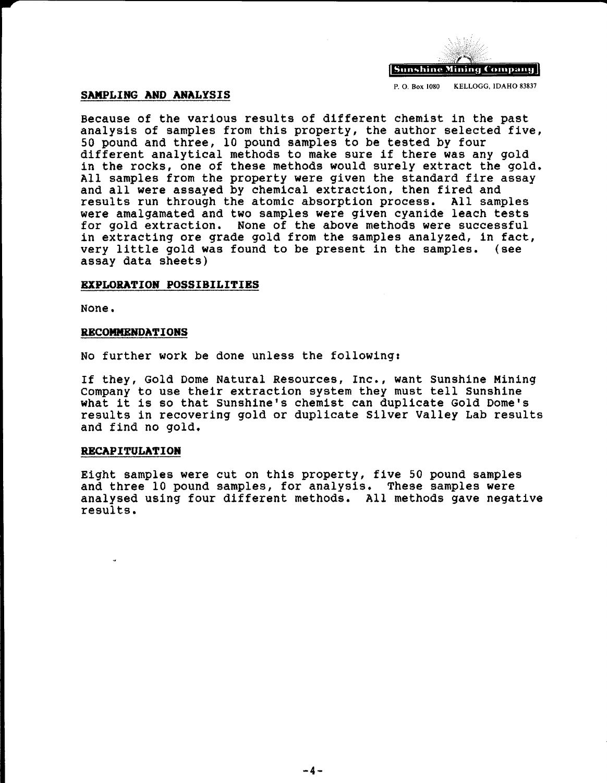

P. 0. Box 1080 KELLOGG, IDAHO 83837

## **SAMPLING AND ANALYSIS**

Because of the various results of different chemist in the past analysis of samples from this property, the author selected five, 50 pound and three, 10 pound samples to be tested by four<br>different analytical methods to make sure if there was any gold in the rocks, one of these methods would surely extract the gold. All samples from the property were given the standard fire assay and all were assayed by chemical extraction, then fired and results run through the atomic absorption process. All samples were amalgamated and two samples were given cyanide leach tests for gold extraction. None of the above methods were successful in extracting ore grade gold from the samples analyzed, in fact,<br>very little gold was found to be present in the samples. (see very little gold was found to be present in the samples. assay data sheets)

## **EXPLORATION POSSIBILITIES**

None.

## **RECOMMENDATIONS**

No further work be done unless the following:

If they, Gold Dome Natural Resources, Inc., want sunshine Mining company to use their extraction system they must tell sunshine what it is so that Sunshine's chemist can duplicate Gold Dome's results in recovering gold or duplicate Silver Valley Lab results and find no gold.

## **RECAPITULATION**

Eight samples were cut on this property, five 50 pound samples and three 10 pound samples, for analysis. These samples were analysed using four different methods. All methods gave negative results.